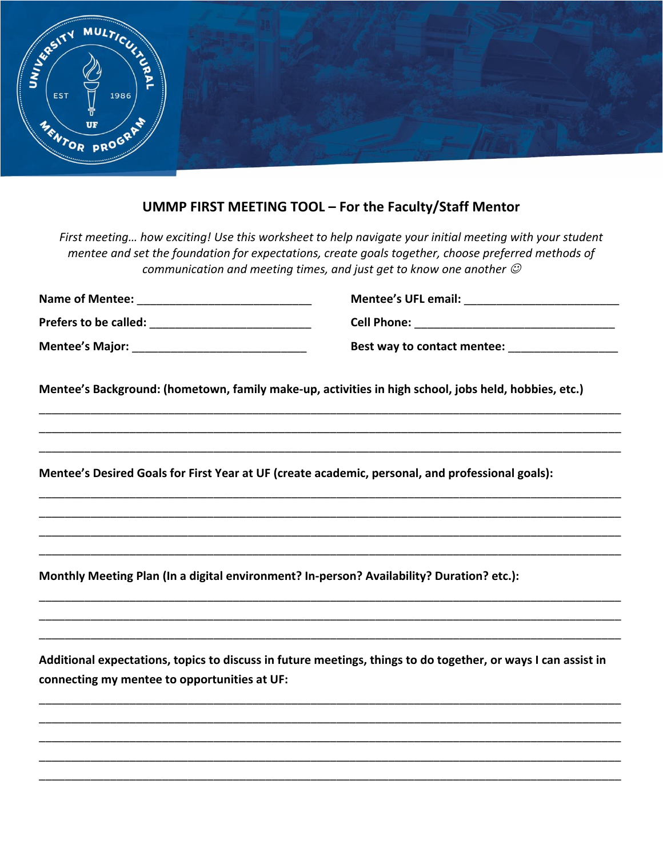

## **UMMP FIRST MEETING TOOL – For the Faculty/Staff Mentor**

*First meeting… how exciting! Use this worksheet to help navigate your initial meeting with your student mentee and set the foundation for expectations, create goals together, choose preferred methods of communication and meeting times, and just get to know one another* ☺

| <b>Name of Mentee:</b> | <b>Mentee's UFL email:</b>  |
|------------------------|-----------------------------|
| Prefers to be called:  | <b>Cell Phone:</b>          |
| <b>Mentee's Major:</b> | Best way to contact mentee: |

\_\_\_\_\_\_\_\_\_\_\_\_\_\_\_\_\_\_\_\_\_\_\_\_\_\_\_\_\_\_\_\_\_\_\_\_\_\_\_\_\_\_\_\_\_\_\_\_\_\_\_\_\_\_\_\_\_\_\_\_\_\_\_\_\_\_\_\_\_\_\_\_\_\_\_\_\_\_\_\_\_\_\_\_\_\_\_\_\_\_ \_\_\_\_\_\_\_\_\_\_\_\_\_\_\_\_\_\_\_\_\_\_\_\_\_\_\_\_\_\_\_\_\_\_\_\_\_\_\_\_\_\_\_\_\_\_\_\_\_\_\_\_\_\_\_\_\_\_\_\_\_\_\_\_\_\_\_\_\_\_\_\_\_\_\_\_\_\_\_\_\_\_\_\_\_\_\_\_\_\_ \_\_\_\_\_\_\_\_\_\_\_\_\_\_\_\_\_\_\_\_\_\_\_\_\_\_\_\_\_\_\_\_\_\_\_\_\_\_\_\_\_\_\_\_\_\_\_\_\_\_\_\_\_\_\_\_\_\_\_\_\_\_\_\_\_\_\_\_\_\_\_\_\_\_\_\_\_\_\_\_\_\_\_\_\_\_\_\_\_\_

\_\_\_\_\_\_\_\_\_\_\_\_\_\_\_\_\_\_\_\_\_\_\_\_\_\_\_\_\_\_\_\_\_\_\_\_\_\_\_\_\_\_\_\_\_\_\_\_\_\_\_\_\_\_\_\_\_\_\_\_\_\_\_\_\_\_\_\_\_\_\_\_\_\_\_\_\_\_\_\_\_\_\_\_\_\_\_\_\_\_ \_\_\_\_\_\_\_\_\_\_\_\_\_\_\_\_\_\_\_\_\_\_\_\_\_\_\_\_\_\_\_\_\_\_\_\_\_\_\_\_\_\_\_\_\_\_\_\_\_\_\_\_\_\_\_\_\_\_\_\_\_\_\_\_\_\_\_\_\_\_\_\_\_\_\_\_\_\_\_\_\_\_\_\_\_\_\_\_\_\_ \_\_\_\_\_\_\_\_\_\_\_\_\_\_\_\_\_\_\_\_\_\_\_\_\_\_\_\_\_\_\_\_\_\_\_\_\_\_\_\_\_\_\_\_\_\_\_\_\_\_\_\_\_\_\_\_\_\_\_\_\_\_\_\_\_\_\_\_\_\_\_\_\_\_\_\_\_\_\_\_\_\_\_\_\_\_\_\_\_\_ \_\_\_\_\_\_\_\_\_\_\_\_\_\_\_\_\_\_\_\_\_\_\_\_\_\_\_\_\_\_\_\_\_\_\_\_\_\_\_\_\_\_\_\_\_\_\_\_\_\_\_\_\_\_\_\_\_\_\_\_\_\_\_\_\_\_\_\_\_\_\_\_\_\_\_\_\_\_\_\_\_\_\_\_\_\_\_\_\_\_

**Mentee's Background: (hometown, family make-up, activities in high school, jobs held, hobbies, etc.)** 

**Mentee's Desired Goals for First Year at UF (create academic, personal, and professional goals):** 

**Monthly Meeting Plan (In a digital environment? In-person? Availability? Duration? etc.):**

**Additional expectations, topics to discuss in future meetings, things to do together, or ways I can assist in connecting my mentee to opportunities at UF:** 

\_\_\_\_\_\_\_\_\_\_\_\_\_\_\_\_\_\_\_\_\_\_\_\_\_\_\_\_\_\_\_\_\_\_\_\_\_\_\_\_\_\_\_\_\_\_\_\_\_\_\_\_\_\_\_\_\_\_\_\_\_\_\_\_\_\_\_\_\_\_\_\_\_\_\_\_\_\_\_\_\_\_\_\_\_\_\_\_\_\_ \_\_\_\_\_\_\_\_\_\_\_\_\_\_\_\_\_\_\_\_\_\_\_\_\_\_\_\_\_\_\_\_\_\_\_\_\_\_\_\_\_\_\_\_\_\_\_\_\_\_\_\_\_\_\_\_\_\_\_\_\_\_\_\_\_\_\_\_\_\_\_\_\_\_\_\_\_\_\_\_\_\_\_\_\_\_\_\_\_\_ \_\_\_\_\_\_\_\_\_\_\_\_\_\_\_\_\_\_\_\_\_\_\_\_\_\_\_\_\_\_\_\_\_\_\_\_\_\_\_\_\_\_\_\_\_\_\_\_\_\_\_\_\_\_\_\_\_\_\_\_\_\_\_\_\_\_\_\_\_\_\_\_\_\_\_\_\_\_\_\_\_\_\_\_\_\_\_\_\_\_ \_\_\_\_\_\_\_\_\_\_\_\_\_\_\_\_\_\_\_\_\_\_\_\_\_\_\_\_\_\_\_\_\_\_\_\_\_\_\_\_\_\_\_\_\_\_\_\_\_\_\_\_\_\_\_\_\_\_\_\_\_\_\_\_\_\_\_\_\_\_\_\_\_\_\_\_\_\_\_\_\_\_\_\_\_\_\_\_\_\_ \_\_\_\_\_\_\_\_\_\_\_\_\_\_\_\_\_\_\_\_\_\_\_\_\_\_\_\_\_\_\_\_\_\_\_\_\_\_\_\_\_\_\_\_\_\_\_\_\_\_\_\_\_\_\_\_\_\_\_\_\_\_\_\_\_\_\_\_\_\_\_\_\_\_\_\_\_\_\_\_\_\_\_\_\_\_\_\_\_\_

\_\_\_\_\_\_\_\_\_\_\_\_\_\_\_\_\_\_\_\_\_\_\_\_\_\_\_\_\_\_\_\_\_\_\_\_\_\_\_\_\_\_\_\_\_\_\_\_\_\_\_\_\_\_\_\_\_\_\_\_\_\_\_\_\_\_\_\_\_\_\_\_\_\_\_\_\_\_\_\_\_\_\_\_\_\_\_\_\_\_ \_\_\_\_\_\_\_\_\_\_\_\_\_\_\_\_\_\_\_\_\_\_\_\_\_\_\_\_\_\_\_\_\_\_\_\_\_\_\_\_\_\_\_\_\_\_\_\_\_\_\_\_\_\_\_\_\_\_\_\_\_\_\_\_\_\_\_\_\_\_\_\_\_\_\_\_\_\_\_\_\_\_\_\_\_\_\_\_\_\_ \_\_\_\_\_\_\_\_\_\_\_\_\_\_\_\_\_\_\_\_\_\_\_\_\_\_\_\_\_\_\_\_\_\_\_\_\_\_\_\_\_\_\_\_\_\_\_\_\_\_\_\_\_\_\_\_\_\_\_\_\_\_\_\_\_\_\_\_\_\_\_\_\_\_\_\_\_\_\_\_\_\_\_\_\_\_\_\_\_\_